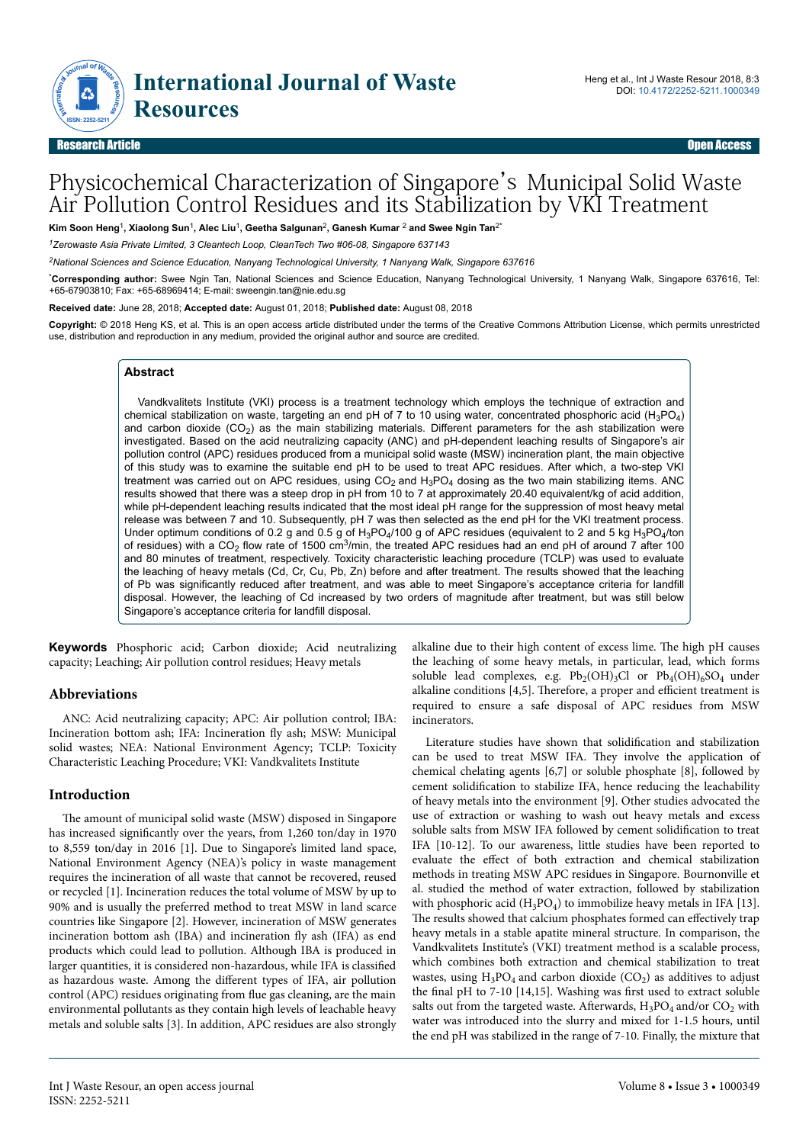

### Research Article Open Access

# Physicochemical Characterization of Singapore's Municipal Solid Waste Air Pollution Control Residues and its Stabilization by VKI Treatment

**Kim Soon Heng**<sup>1</sup> **, Xiaolong Sun**<sup>1</sup> **, Alec Liu**<sup>1</sup> **, Geetha Salgunan**<sup>2</sup> **, Ganesh Kumar** <sup>2</sup>  **and Swee Ngin Tan**2\*

*<sup>1</sup>Zerowaste Asia Private Limited, 3 Cleantech Loop, CleanTech Two #06-08, Singapore 637143*

*<sup>2</sup>National Sciences and Science Education, Nanyang Technological University, 1 Nanyang Walk, Singapore 637616*

\***Corresponding author:** Swee Ngin Tan, National Sciences and Science Education, Nanyang Technological University, 1 Nanyang Walk, Singapore 637616, Tel: +65-67903810; Fax: +65-68969414; E-mail: sweengin.tan@nie.edu.sg

**Received date:** June 28, 2018; **Accepted date:** August 01, 2018; **Published date:** August 08, 2018

**Copyright:** © 2018 Heng KS, et al. This is an open access article distributed under the terms of the Creative Commons Attribution License, which permits unrestricted use, distribution and reproduction in any medium, provided the original author and source are credited.

### **Abstract**

Vandkvalitets Institute (VKI) process is a treatment technology which employs the technique of extraction and chemical stabilization on waste, targeting an end pH of 7 to 10 using water, concentrated phosphoric acid (H<sub>3</sub>PO<sub>4</sub>) and carbon dioxide  $(CO_2)$  as the main stabilizing materials. Different parameters for the ash stabilization were investigated. Based on the acid neutralizing capacity (ANC) and pH-dependent leaching results of Singapore's air pollution control (APC) residues produced from a municipal solid waste (MSW) incineration plant, the main objective of this study was to examine the suitable end pH to be used to treat APC residues. After which, a two-step VKI treatment was carried out on APC residues, using  $CO<sub>2</sub>$  and  $H<sub>3</sub>PO<sub>4</sub>$  dosing as the two main stabilizing items. ANC results showed that there was a steep drop in pH from 10 to 7 at approximately 20.40 equivalent/kg of acid addition, while pH-dependent leaching results indicated that the most ideal pH range for the suppression of most heavy metal release was between 7 and 10. Subsequently, pH 7 was then selected as the end pH for the VKI treatment process. Under optimum conditions of 0.2 g and 0.5 g of  $H_3PO_4/100$  g of APC residues (equivalent to 2 and 5 kg  $H_3PO_4/$ ton of residues) with a CO<sub>2</sub> flow rate of 1500 cm<sup>3</sup>/min, the treated APC residues had an end pH of around 7 after 100 and 80 minutes of treatment, respectively. Toxicity characteristic leaching procedure (TCLP) was used to evaluate the leaching of heavy metals (Cd, Cr, Cu, Pb, Zn) before and after treatment. The results showed that the leaching of Pb was significantly reduced after treatment, and was able to meet Singapore's acceptance criteria for landfill disposal. However, the leaching of Cd increased by two orders of magnitude after treatment, but was still below Singapore's acceptance criteria for landfill disposal.

**Keywords** Phosphoric acid; Carbon dioxide; Acid neutralizing capacity; Leaching; Air pollution control residues; Heavy metals

### **Abbreviations**

ANC: Acid neutralizing capacity; APC: Air pollution control; IBA: Incineration bottom ash; IFA: Incineration fly ash; MSW: Municipal solid wastes; NEA: National Environment Agency; TCLP: Toxicity Characteristic Leaching Procedure; VKI: Vandkvalitets Institute

### **Introduction**

The amount of municipal solid waste (MSW) disposed in Singapore has increased significantly over the years, from 1,260 ton/day in 1970 to 8,559 ton/day in 2016 [1]. Due to Singapore's limited land space, National Environment Agency (NEA)'s policy in waste management requires the incineration of all waste that cannot be recovered, reused or recycled [1]. Incineration reduces the total volume of MSW by up to 90% and is usually the preferred method to treat MSW in land scarce countries like Singapore [2]. However, incineration of MSW generates incineration bottom ash (IBA) and incineration fly ash (IFA) as end products which could lead to pollution. Although IBA is produced in larger quantities, it is considered non-hazardous, while IFA is classified as hazardous waste. Among the different types of IFA, air pollution control (APC) residues originating from flue gas cleaning, are the main environmental pollutants as they contain high levels of leachable heavy metals and soluble salts [3]. In addition, APC residues are also strongly

alkaline due to their high content of excess lime. Нe high pH causes the leaching of some heavy metals, in particular, lead, which forms soluble lead complexes, e.g.  $Pb_2(OH)_3Cl$  or  $Pb_4(OH)_6SO_4$  under alkaline conditions [4,5]. Therefore, a proper and efficient treatment is required to ensure a safe disposal of APC residues from MSW incinerators.

Literature studies have shown that solidification and stabilization can be used to treat MSW IFA. Нey involve the application of chemical chelating agents [6,7] or soluble phosphate [8], followed by cement solidification to stabilize IFA, hence reducing the leachability of heavy metals into the environment [9]. Other studies advocated the use of extraction or washing to wash out heavy metals and excess soluble salts from MSW IFA followed by cement solidification to treat IFA [10-12]. To our awareness, little studies have been reported to evaluate the effect of both extraction and chemical stabilization methods in treating MSW APC residues in Singapore. Bournonville et al. studied the method of water extraction, followed by stabilization with phosphoric acid  $(H_3PO_4)$  to immobilize heavy metals in IFA [13]. The results showed that calcium phosphates formed can effectively trap heavy metals in a stable apatite mineral structure. In comparison, the Vandkvalitets Institute's (VKI) treatment method is a scalable process, which combines both extraction and chemical stabilization to treat wastes, using  $H_3PO_4$  and carbon dioxide  $(CO_2)$  as additives to adjust the final pH to 7-10 [14,15]. Washing was first used to extract soluble salts out from the targeted waste. Afterwards,  $H_3PO_4$  and/or  $CO_2$  with water was introduced into the slurry and mixed for 1-1.5 hours, until the end pH was stabilized in the range of 7-10. Finally, the mixture that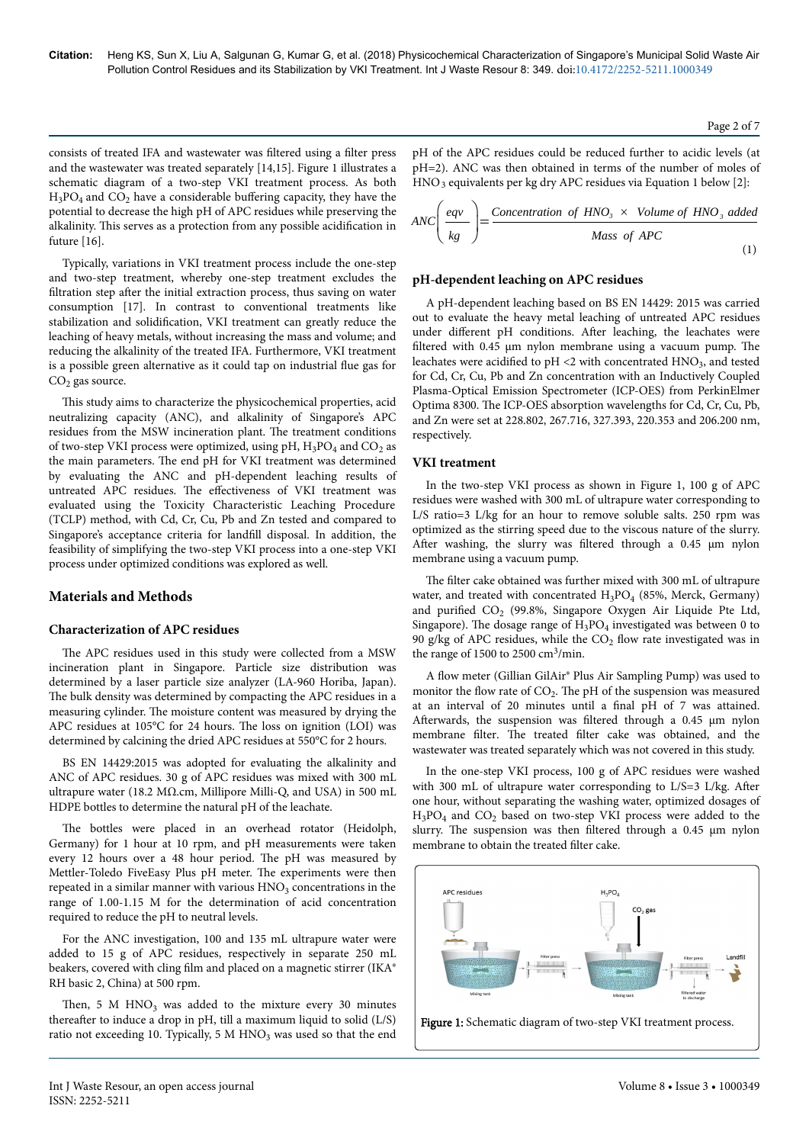consists of treated IFA and wastewater was filtered using a filter press and the wastewater was treated separately [14,15]. Figure 1 illustrates a schematic diagram of a two-step VKI treatment process. As both  $H_3PO_4$  and  $CO_2$  have a considerable buffering capacity, they have the potential to decrease the high pH of APC residues while preserving the alkalinity. Нis serves as a protection from any possible acidification in future [16].

Typically, variations in VKI treatment process include the one-step and two-step treatment, whereby one-step treatment excludes the filtration step after the initial extraction process, thus saving on water consumption [17]. In contrast to conventional treatments like stabilization and solidification, VKI treatment can greatly reduce the leaching of heavy metals, without increasing the mass and volume; and reducing the alkalinity of the treated IFA. Furthermore, VKI treatment is a possible green alternative as it could tap on industrial flue gas for CO<sub>2</sub> gas source.

This study aims to characterize the physicochemical properties, acid neutralizing capacity (ANC), and alkalinity of Singapore's APC residues from the MSW incineration plant. Нe treatment conditions of two-step VKI process were optimized, using pH,  $\text{H}_{3}\text{PO}_{4}$  and  $\text{CO}_{2}$  as the main parameters. Нe end pH for VKI treatment was determined by evaluating the ANC and pH-dependent leaching results of untreated APC residues. The effectiveness of VKI treatment was evaluated using the Toxicity Characteristic Leaching Procedure (TCLP) method, with Cd, Cr, Cu, Pb and Zn tested and compared to Singapore's acceptance criteria for landfill disposal. In addition, the feasibility of simplifying the two-step VKI process into a one-step VKI process under optimized conditions was explored as well.

### **Materials and Methods**

### **Characterization of APC residues**

The APC residues used in this study were collected from a MSW incineration plant in Singapore. Particle size distribution was determined by a laser particle size analyzer (LA-960 Horiba, Japan). The bulk density was determined by compacting the APC residues in a measuring cylinder. Нe moisture content was measured by drying the APC residues at 105°C for 24 hours. Нe loss on ignition (LOI) was determined by calcining the dried APC residues at 550°C for 2 hours.

BS EN 14429:2015 was adopted for evaluating the alkalinity and ANC of APC residues. 30 g of APC residues was mixed with 300 mL ultrapure water (18.2 MΩ.cm, Millipore Milli-Q, and USA) in 500 mL HDPE bottles to determine the natural pH of the leachate.

The bottles were placed in an overhead rotator (Heidolph, Germany) for 1 hour at 10 rpm, and pH measurements were taken every 12 hours over a 48 hour period. Нe pH was measured by Mettler-Toledo FiveEasy Plus pH meter. Нe experiments were then repeated in a similar manner with various  $\rm HNO_3$  concentrations in the range of 1.00-1.15 M for the determination of acid concentration required to reduce the pH to neutral levels.

For the ANC investigation, 100 and 135 mL ultrapure water were added to 15 g of APC residues, respectively in separate 250 mL beakers, covered with cling film and placed on a magnetic stirrer (IKA® RH basic 2, China) at 500 rpm.

Then, 5 M  $HNO<sub>3</sub>$  was added to the mixture every 30 minutes thereafter to induce a drop in pH, till a maximum liquid to solid  $(L/S)$ ratio not exceeding 10. Typically, 5 M  $\rm HNO_3$  was used so that the end

pH of the APC residues could be reduced further to acidic levels (at pH=2). ANC was then obtained in terms of the number of moles of HNO3 equivalents per kg dry APC residues via Equation 1 below [2]:

$$
ANC\left(\frac{eqv}{kg}\right) = \frac{Concentration\ of\ HNO_3 \times Volume\ of\ HNO_3\ added}{Mass\ of\ APC}
$$
\n(1)

#### **pH-dependent leaching on APC residues**

A pH-dependent leaching based on BS EN 14429: 2015 was carried out to evaluate the heavy metal leaching of untreated APC residues under different pH conditions. After leaching, the leachates were filtered with 0.45 μm nylon membrane using a vacuum pump. The leachates were acidified to pH <2 with concentrated  $\rm HNO_3$ , and tested for Cd, Cr, Cu, Pb and Zn concentration with an Inductively Coupled Plasma-Optical Emission Spectrometer (ICP-OES) from PerkinElmer Optima 8300. Нe ICP-OES absorption wavelengths for Cd, Cr, Cu, Pb, and Zn were set at 228.802, 267.716, 327.393, 220.353 and 206.200 nm, respectively.

### **VKI treatment**

In the two-step VKI process as shown in Figure 1, 100 g of APC residues were washed with 300 mL of ultrapure water corresponding to L/S ratio=3 L/kg for an hour to remove soluble salts. 250 rpm was optimized as the stirring speed due to the viscous nature of the slurry. After washing, the slurry was filtered through a 0.45  $\mu$ m nylon membrane using a vacuum pump.

The filter cake obtained was further mixed with 300 mL of ultrapure water, and treated with concentrated  $H_3PO_4$  (85%, Merck, Germany) and purified CO<sub>2</sub> (99.8%, Singapore Oxygen Air Liquide Pte Ltd, Singapore). The dosage range of  $H_3PO_4$  investigated was between 0 to 90 g/kg of APC residues, while the  $CO<sub>2</sub>$  flow rate investigated was in the range of 1500 to 2500  $\text{cm}^3/\text{min}$ .

A flow meter (Gillian GilAir® Plus Air Sampling Pump) was used to monitor the flow rate of  $CO<sub>2</sub>$ . The pH of the suspension was measured at an interval of 20 minutes until a final pH of 7 was attained. Afterwards, the suspension was filtered through a 0.45 µm nylon membrane filter. Нe treated filter cake was obtained, and the wastewater was treated separately which was not covered in this study.

In the one-step VKI process, 100 g of APC residues were washed with 300 mL of ultrapure water corresponding to  $L/S=3$   $L/kg$ . After one hour, without separating the washing water, optimized dosages of  $H_3PO_4$  and  $CO_2$  based on two-step VKI process were added to the slurry. Нe suspension was then filtered through a 0.45 µm nylon membrane to obtain the treated filter cake.

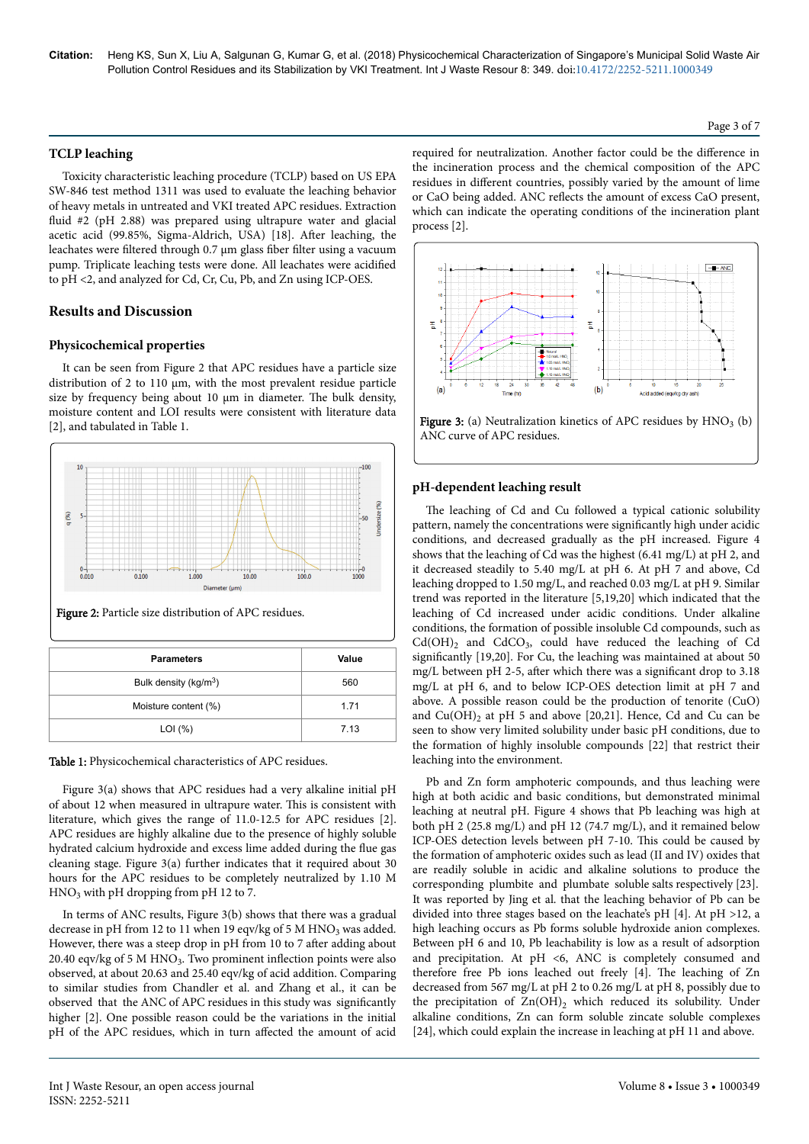### **TCLP leaching**

Toxicity characteristic leaching procedure (TCLP) based on US EPA SW-846 test method 1311 was used to evaluate the leaching behavior of heavy metals in untreated and VKI treated APC residues. Extraction fluid #2 (pH 2.88) was prepared using ultrapure water and glacial acetic acid (99.85%, Sigma-Aldrich, USA) [18]. After leaching, the leachates were filtered through 0.7 µm glass fiber filter using a vacuum pump. Triplicate leaching tests were done. All leachates were acidified to pH <2, and analyzed for Cd, Cr, Cu, Pb, and Zn using ICP-OES.

### **Results and Discussion**

### **Physicochemical properties**

It can be seen from Figure 2 that APC residues have a particle size distribution of 2 to 110 μm, with the most prevalent residue particle size by frequency being about 10 μm in diameter. Нe bulk density, moisture content and LOI results were consistent with literature data [2], and tabulated in Table 1.





| <b>Parameters</b>                 | Value |
|-----------------------------------|-------|
| Bulk density (kg/m <sup>3</sup> ) | 560   |
| Moisture content (%)              | 1.71  |
| $LOI$ $(\% )$                     | 7.13  |

#### Table 1: Physicochemical characteristics of APC residues.

Figure 3(a) shows that APC residues had a very alkaline initial pH of about 12 when measured in ultrapure water. Нis is consistent with literature, which gives the range of 11.0-12.5 for APC residues [2]. APC residues are highly alkaline due to the presence of highly soluble hydrated calcium hydroxide and excess lime added during the flue gas cleaning stage. Figure 3(a) further indicates that it required about 30 hours for the APC residues to be completely neutralized by 1.10 M  $HNO<sub>3</sub>$  with pH dropping from pH 12 to 7.

In terms of ANC results, Figure 3(b) shows that there was a gradual decrease in pH from 12 to 11 when 19 eqv/kg of 5 M  $\rm HNO_3$  was added. However, there was a steep drop in pH from 10 to 7 after adding about 20.40 eqv/kg of 5 M HNO<sub>3</sub>. Two prominent inflection points were also observed, at about 20.63 and 25.40 eqv/kg of acid addition. Comparing to similar studies from Chandler et al. and Zhang et al., it can be observed that the ANC of APC residues in this study was significantly higher [2]. One possible reason could be the variations in the initial pH of the APC residues, which in turn affected the amount of acid

required for neutralization. Another factor could be the difference in the incineration process and the chemical composition of the APC residues in different countries, possibly varied by the amount of lime or CaO being added. ANC reflects the amount of excess CaO present, which can indicate the operating conditions of the incineration plant process [2].



**Figure 3:** (a) Neutralization kinetics of APC residues by  $HNO<sub>3</sub>$  (b) ANC curve of APC residues.

#### **pH-dependent leaching result**

The leaching of Cd and Cu followed a typical cationic solubility pattern, namely the concentrations were significantly high under acidic conditions, and decreased gradually as the pH increased. Figure 4 shows that the leaching of Cd was the highest (6.41 mg/L) at pH 2, and it decreased steadily to 5.40 mg/L at pH 6. At pH 7 and above, Cd leaching dropped to 1.50 mg/L, and reached 0.03 mg/L at pH 9. Similar trend was reported in the literature [5,19,20] which indicated that the leaching of Cd increased under acidic conditions. Under alkaline conditions, the formation of possible insoluble Cd compounds, such as  $Cd(OH)_2$  and  $CdCO_3$ , could have reduced the leaching of Cd significantly [19,20]. For Cu, the leaching was maintained at about 50 mg/L between pH 2-5, after which there was a significant drop to 3.18 mg/L at pH 6, and to below ICP-OES detection limit at pH 7 and above. A possible reason could be the production of tenorite (CuO) and  $Cu(OH)<sub>2</sub>$  at pH 5 and above [20,21]. Hence, Cd and Cu can be seen to show very limited solubility under basic pH conditions, due to the formation of highly insoluble compounds [22] that restrict their leaching into the environment.

Pb and Zn form amphoteric compounds, and thus leaching were high at both acidic and basic conditions, but demonstrated minimal leaching at neutral pH. Figure 4 shows that Pb leaching was high at both pH 2 (25.8 mg/L) and pH 12 (74.7 mg/L), and it remained below ICP-OES detection levels between pH 7-10. Нis could be caused by the formation of amphoteric oxides such as lead (II and IV) oxides that are readily soluble in acidic and alkaline solutions to produce the corresponding plumbite and plumbate soluble salts respectively [23]. It was reported by Jing et al. that the leaching behavior of Pb can be divided into three stages based on the leachate's pH [4]. At pH >12, a high leaching occurs as Pb forms soluble hydroxide anion complexes. Between pH 6 and 10, Pb leachability is low as a result of adsorption and precipitation. At pH <6, ANC is completely consumed and therefore free Pb ions leached out freely [4]. Нe leaching of Zn decreased from 567 mg/L at pH 2 to 0.26 mg/L at pH 8, possibly due to the precipitation of  $Zn(OH)_2$  which reduced its solubility. Under alkaline conditions, Zn can form soluble zincate soluble complexes [24], which could explain the increase in leaching at pH 11 and above.

#### Page 3 of 7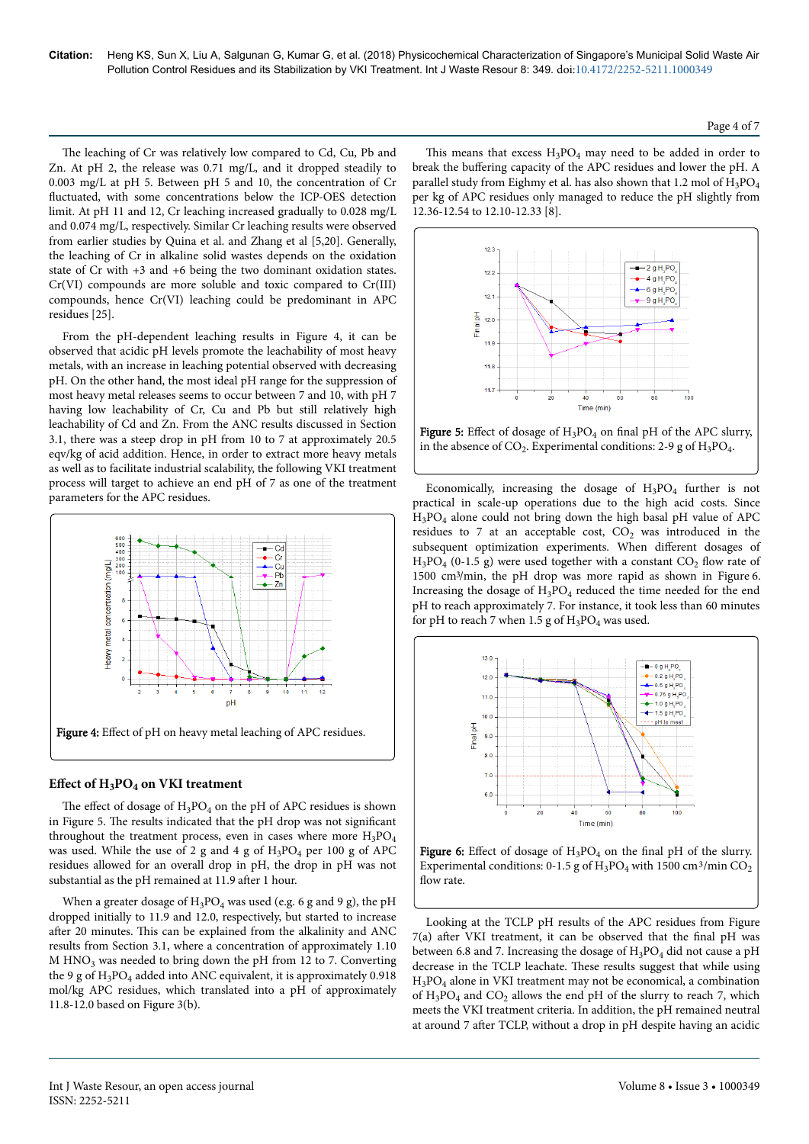The leaching of Cr was relatively low compared to Cd, Cu, Pb and Zn. At pH 2, the release was 0.71 mg/L, and it dropped steadily to 0.003 mg/L at pH 5. Between pH 5 and 10, the concentration of Cr fluctuated, with some concentrations below the ICP-OES detection limit. At pH 11 and 12, Cr leaching increased gradually to 0.028 mg/L and 0.074 mg/L, respectively. Similar Cr leaching results were observed from earlier studies by Quina et al. and Zhang et al [5,20]. Generally, the leaching of Cr in alkaline solid wastes depends on the oxidation state of Cr with +3 and +6 being the two dominant oxidation states. Cr(VI) compounds are more soluble and toxic compared to Cr(III) compounds, hence Cr(VI) leaching could be predominant in APC residues [25].

From the pH-dependent leaching results in Figure 4, it can be observed that acidic pH levels promote the leachability of most heavy metals, with an increase in leaching potential observed with decreasing pH. On the other hand, the most ideal pH range for the suppression of most heavy metal releases seems to occur between 7 and 10, with pH 7 having low leachability of Cr, Cu and Pb but still relatively high leachability of Cd and Zn. From the ANC results discussed in Section 3.1, there was a steep drop in pH from 10 to 7 at approximately 20.5 eqv/kg of acid addition. Hence, in order to extract more heavy metals as well as to facilitate industrial scalability, the following VKI treatment process will target to achieve an end pH of 7 as one of the treatment parameters for the APC residues.



## **Effect of H<sub>3</sub>PO<sub>4</sub> on VKI treatment**

The effect of dosage of  $H_3PO_4$  on the pH of APC residues is shown in Figure 5. Нe results indicated that the pH drop was not significant throughout the treatment process, even in cases where more  $H_3PO_4$ was used. While the use of 2 g and 4 g of  $\rm H_3PO_4$  per 100 g of APC residues allowed for an overall drop in pH, the drop in pH was not substantial as the pH remained at 11.9 after 1 hour.

When a greater dosage of  $H_3PO_4$  was used (e.g. 6 g and 9 g), the pH dropped initially to 11.9 and 12.0, respectively, but started to increase after 20 minutes. This can be explained from the alkalinity and ANC results from Section 3.1, where a concentration of approximately 1.10 M  $\text{HNO}_3$  was needed to bring down the pH from 12 to 7. Converting the 9 g of  $H_3PO_4$  added into ANC equivalent, it is approximately 0.918 mol/kg APC residues, which translated into a pH of approximately 11.8-12.0 based on Figure 3(b).

This means that excess  $H_3PO_4$  may need to be added in order to break the buffering capacity of the APC residues and lower the pH. A parallel study from Eighmy et al. has also shown that 1.2 mol of  $H_3PO_4$ per kg of APC residues only managed to reduce the pH slightly from 12.36-12.54 to 12.10-12.33 [8].





Economically, increasing the dosage of  $H_3PO_4$  further is not practical in scale-up operations due to the high acid costs. Since H3PO<sup>4</sup> alone could not bring down the high basal pH value of APC residues to 7 at an acceptable cost,  $CO<sub>2</sub>$  was introduced in the subsequent optimization experiments. When different dosages of  $H_3PO_4$  (0-1.5 g) were used together with a constant  $CO_2$  flow rate of 1500 cm<sup>3</sup>/min, the pH drop was more rapid as shown in Figure 6. Increasing the dosage of  $H_3PO_4$  reduced the time needed for the end pH to reach approximately 7. For instance, it took less than 60 minutes for pH to reach 7 when  $1.5$  g of  $H_3PO_4$  was used.





Looking at the TCLP pH results of the APC residues from Figure 7(a) after VKI treatment, it can be observed that the final pH was between 6.8 and 7. Increasing the dosage of  $H_3PO_4$  did not cause a pH decrease in the TCLP leachate. Нese results suggest that while using H3PO<sup>4</sup> alone in VKI treatment may not be economical, a combination of  $H_3PO_4$  and  $CO_2$  allows the end pH of the slurry to reach 7, which meets the VKI treatment criteria. In addition, the pH remained neutral at around 7 after TCLP, without a drop in pH despite having an acidic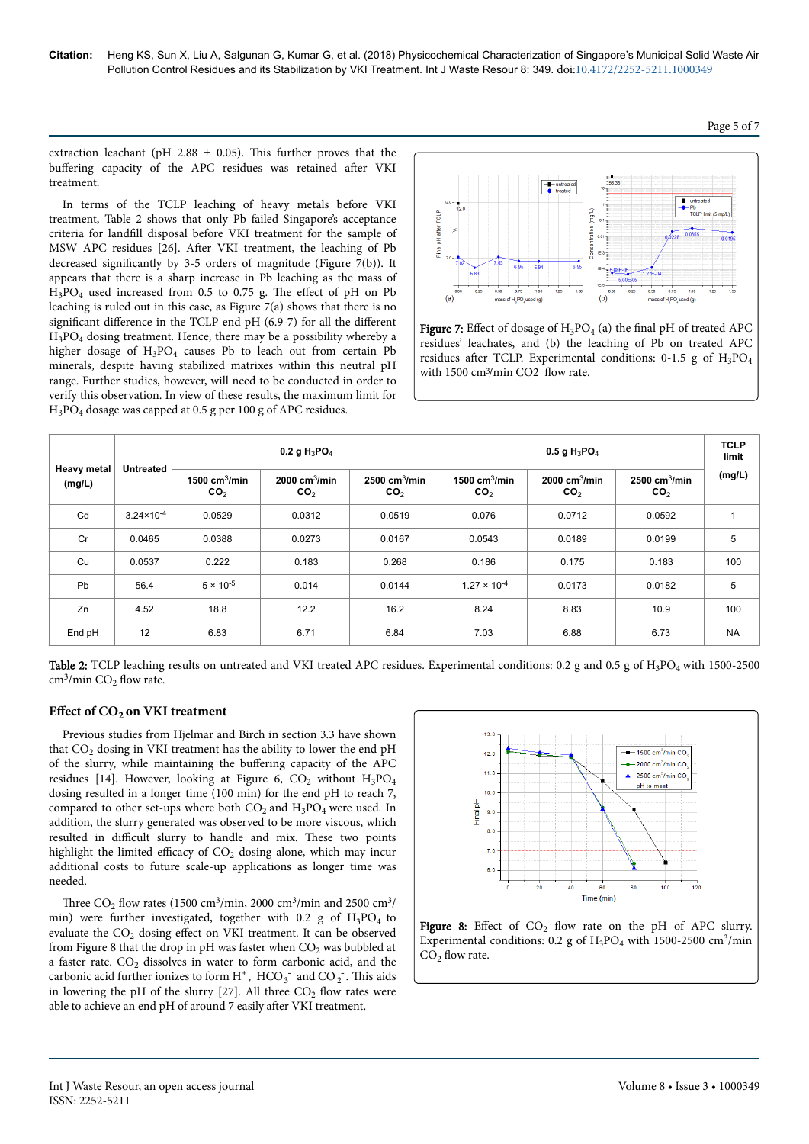extraction leachant (pH 2.88  $\pm$  0.05). This further proves that the buffering capacity of the APC residues was retained after VKI treatment.

In terms of the TCLP leaching of heavy metals before VKI treatment, Table 2 shows that only Pb failed Singapore's acceptance criteria for landfill disposal before VKI treatment for the sample of MSW APC residues [26]. After VKI treatment, the leaching of Pb decreased significantly by 3-5 orders of magnitude (Figure 7(b)). It appears that there is a sharp increase in Pb leaching as the mass of  $H_3PO_4$  used increased from 0.5 to 0.75 g. The effect of pH on Pb leaching is ruled out in this case, as Figure 7(a) shows that there is no significant difference in the TCLP end pH  $(6.9-7)$  for all the different H3PO<sup>4</sup> dosing treatment. Hence, there may be a possibility whereby a higher dosage of  $H_3PO_4$  causes Pb to leach out from certain Pb minerals, despite having stabilized matrixes within this neutral pH range. Further studies, however, will need to be conducted in order to verify this observation. In view of these results, the maximum limit for H3PO<sup>4</sup> dosage was capped at 0.5 g per 100 g of APC residues.



**Figure 7:** Effect of dosage of  $H_3PO_4$  (a) the final pH of treated APC residues' leachates, and (b) the leaching of Pb on treated APC residues after TCLP. Experimental conditions:  $0-1.5$  g of  $H_3PO_4$ with 1500 cm<sup>3</sup>/min CO2 flow rate.

| <b>Heavy metal</b><br>(mg/L) | Untreated             | 0.2 g $H_3$ PO <sub>4</sub>         |                                     | 0.5 g $H_3$ PO <sub>4</sub>         |                                     |                                   | <b>TCLP</b><br>limit                |           |
|------------------------------|-----------------------|-------------------------------------|-------------------------------------|-------------------------------------|-------------------------------------|-----------------------------------|-------------------------------------|-----------|
|                              |                       | 1500 cm $3$ /min<br>CO <sub>2</sub> | 2000 cm $3$ /min<br>CO <sub>2</sub> | 2500 cm $3$ /min<br>CO <sub>2</sub> | 1500 cm $3$ /min<br>CO <sub>2</sub> | 2000 $cm3/min$<br>CO <sub>2</sub> | 2500 cm $3$ /min<br>CO <sub>2</sub> | (mg/L)    |
| Cd                           | $3.24 \times 10^{-4}$ | 0.0529                              | 0.0312                              | 0.0519                              | 0.076                               | 0.0712                            | 0.0592                              |           |
| Cr                           | 0.0465                | 0.0388                              | 0.0273                              | 0.0167                              | 0.0543                              | 0.0189                            | 0.0199                              | 5         |
| Cu                           | 0.0537                | 0.222                               | 0.183                               | 0.268                               | 0.186                               | 0.175                             | 0.183                               | 100       |
| Pb                           | 56.4                  | $5 \times 10^{-5}$                  | 0.014                               | 0.0144                              | $1.27 \times 10^{-4}$               | 0.0173                            | 0.0182                              | 5         |
| Zn                           | 4.52                  | 18.8                                | 12.2                                | 16.2                                | 8.24                                | 8.83                              | 10.9                                | 100       |
| End pH                       | 12                    | 6.83                                | 6.71                                | 6.84                                | 7.03                                | 6.88                              | 6.73                                | <b>NA</b> |

Table 2: TCLP leaching results on untreated and VKI treated APC residues. Experimental conditions: 0.2 g and 0.5 g of H<sub>3</sub>PO<sub>4</sub> with 1500-2500  $\text{cm}^3/\text{min CO}_2$  flow rate.

### Effect of CO<sub>2</sub> on VKI treatment

Previous studies from Hjelmar and Birch in section 3.3 have shown that  $CO_2$  dosing in VKI treatment has the ability to lower the end pH of the slurry, while maintaining the buffering capacity of the APC residues [14]. However, looking at Figure 6,  $CO_2$  without  $H_3PO_4$ dosing resulted in a longer time (100 min) for the end pH to reach 7, compared to other set-ups where both  $CO<sub>2</sub>$  and  $H<sub>3</sub>PO<sub>4</sub>$  were used. In addition, the slurry generated was observed to be more viscous, which resulted in difficult slurry to handle and mix. These two points highlight the limited efficacy of  $CO<sub>2</sub>$  dosing alone, which may incur additional costs to future scale-up applications as longer time was needed.

Three  $CO_2$  flow rates (1500 cm<sup>3</sup>/min, 2000 cm<sup>3</sup>/min and 2500 cm<sup>3</sup>/ min) were further investigated, together with 0.2 g of  $H_3PO_4$  to evaluate the  $\text{CO}_2$  dosing effect on VKI treatment. It can be observed from Figure 8 that the drop in pH was faster when  $\mathrm{CO}_2$  was bubbled at a faster rate.  $CO<sub>2</sub>$  dissolves in water to form carbonic acid, and the carbonic acid further ionizes to form H<sup>+</sup>, HCO<sub>3</sub><sup>-</sup> and CO<sub>2</sub><sup>-</sup>. This aids in lowering the pH of the slurry  $[27]$ . All three  $CO<sub>2</sub>$  flow rates were able to achieve an end pH of around 7 easily after VKI treatment.



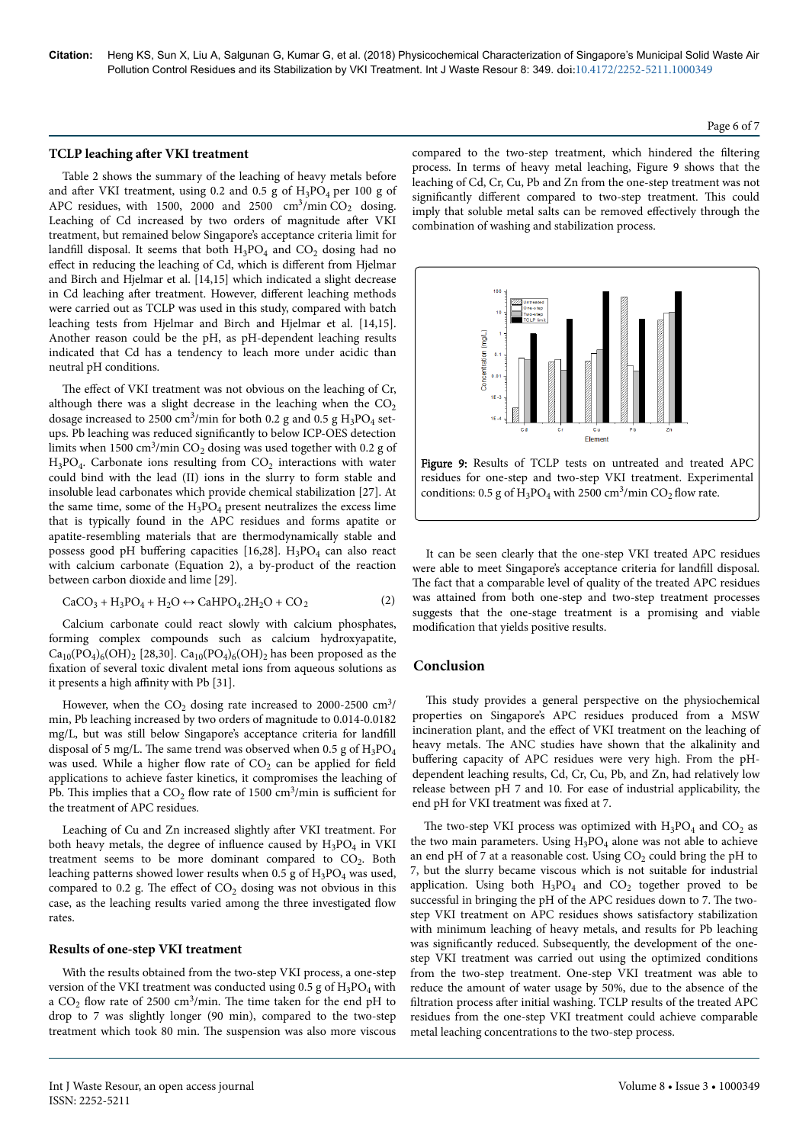#### **TCLP** leaching after VKI treatment

Table 2 shows the summary of the leaching of heavy metals before and after VKI treatment, using 0.2 and 0.5 g of  $H_3PO_4$  per 100 g of APC residues, with 1500, 2000 and 2500  $\text{cm}^3/\text{min CO}_2$  dosing. Leaching of Cd increased by two orders of magnitude after VKI treatment, but remained below Singapore's acceptance criteria limit for landfill disposal. It seems that both  $H_3PO_4$  and  $CO_2$  dosing had no effect in reducing the leaching of Cd, which is different from Hjelmar and Birch and Hjelmar et al. [14,15] which indicated a slight decrease in Cd leaching after treatment. However, different leaching methods were carried out as TCLP was used in this study, compared with batch leaching tests from Hjelmar and Birch and Hjelmar et al. [14,15]. Another reason could be the pH, as pH-dependent leaching results indicated that Cd has a tendency to leach more under acidic than neutral pH conditions.

The effect of VKI treatment was not obvious on the leaching of Cr, although there was a slight decrease in the leaching when the  $CO<sub>2</sub>$ dosage increased to 2500 cm<sup>3</sup>/min for both 0.2 g and 0.5 g  $\rm H_3PO_4$  setups. Pb leaching was reduced significantly to below ICP-OES detection limits when 1500 cm<sup>3</sup>/min CO<sub>2</sub> dosing was used together with 0.2 g of  $H_3PO_4$ . Carbonate ions resulting from  $CO_2$  interactions with water could bind with the lead (II) ions in the slurry to form stable and insoluble lead carbonates which provide chemical stabilization [27]. At the same time, some of the  $H_3PO_4$  present neutralizes the excess lime that is typically found in the APC residues and forms apatite or apatite-resembling materials that are thermodynamically stable and possess good pH buffering capacities  $[16,28]$ . H<sub>3</sub>PO<sub>4</sub> can also react with calcium carbonate (Equation 2), a by-product of the reaction between carbon dioxide and lime [29].

$$
CaCO3 + H3PO4 + H2O \leftrightarrow CaHPO4.2H2O + CO2
$$
 (2)

Calcium carbonate could react slowly with calcium phosphates, forming complex compounds such as calcium hydroxyapatite,  $Ca_{10}(PO_4)_6(OH)_2$  [28,30].  $Ca_{10}(PO_4)_6(OH)_2$  has been proposed as the fixation of several toxic divalent metal ions from aqueous solutions as it presents a high affinity with Pb [31].

However, when the  $CO_2$  dosing rate increased to 2000-2500  $\text{cm}^3/\text{s}$ min, Pb leaching increased by two orders of magnitude to 0.014-0.0182 mg/L, but was still below Singapore's acceptance criteria for landfill disposal of 5 mg/L. The same trend was observed when 0.5 g of  $\rm H_3PO_4$ was used. While a higher flow rate of  $\mathrm{CO}_2$  can be applied for field applications to achieve faster kinetics, it compromises the leaching of Pb. This implies that a  $CO_2$  flow rate of 1500  $cm^3/min$  is sufficient for the treatment of APC residues.

Leaching of Cu and Zn increased slightly after VKI treatment. For both heavy metals, the degree of influence caused by  $H_3PO_4$  in VKI treatment seems to be more dominant compared to  $CO<sub>2</sub>$ . Both leaching patterns showed lower results when 0.5 g of  $\rm H_3PO_4$  was used, compared to 0.2 g. The effect of  $CO_2$  dosing was not obvious in this case, as the leaching results varied among the three investigated flow rates.

#### **Results of one-step VKI treatment**

With the results obtained from the two-step VKI process, a one-step version of the VKI treatment was conducted using 0.5 g of  $\rm H_3PO_4$  with a  $CO_2$  flow rate of 2500 cm<sup>3</sup>/min. The time taken for the end pH to drop to 7 was slightly longer (90 min), compared to the two-step treatment which took 80 min. Нe suspension was also more viscous compared to the two-step treatment, which hindered the filtering process. In terms of heavy metal leaching, Figure 9 shows that the leaching of Cd, Cr, Cu, Pb and Zn from the one-step treatment was not significantly different compared to two-step treatment. This could imply that soluble metal salts can be removed effectively through the combination of washing and stabilization process.



Figure 9: Results of TCLP tests on untreated and treated APC residues for one-step and two-step VKI treatment. Experimental conditions: 0.5 g of  $H_3PO_4$  with 2500 cm<sup>3</sup>/min CO<sub>2</sub> flow rate.

It can be seen clearly that the one-step VKI treated APC residues were able to meet Singapore's acceptance criteria for landfill disposal. The fact that a comparable level of quality of the treated APC residues was attained from both one-step and two-step treatment processes suggests that the one-stage treatment is a promising and viable modification that yields positive results.

### **Conclusion**

This study provides a general perspective on the physiochemical properties on Singapore's APC residues produced from a MSW incineration plant, and the effect of VKI treatment on the leaching of heavy metals. The ANC studies have shown that the alkalinity and buffering capacity of APC residues were very high. From the pHdependent leaching results, Cd, Cr, Cu, Pb, and Zn, had relatively low release between pH 7 and 10. For ease of industrial applicability, the end pH for VKI treatment was fixed at 7.

The two-step VKI process was optimized with  $H_3PO_4$  and  $CO_2$  as the two main parameters. Using  $H_3PO_4$  alone was not able to achieve an end pH of 7 at a reasonable cost. Using  $CO<sub>2</sub>$  could bring the pH to 7, but the slurry became viscous which is not suitable for industrial application. Using both  $H_3PO_4$  and  $CO_2$  together proved to be successful in bringing the pH of the APC residues down to 7. Нe twostep VKI treatment on APC residues shows satisfactory stabilization with minimum leaching of heavy metals, and results for Pb leaching was significantly reduced. Subsequently, the development of the onestep VKI treatment was carried out using the optimized conditions from the two-step treatment. One-step VKI treatment was able to reduce the amount of water usage by 50%, due to the absence of the filtration process after initial washing. TCLP results of the treated APC residues from the one-step VKI treatment could achieve comparable metal leaching concentrations to the two-step process.